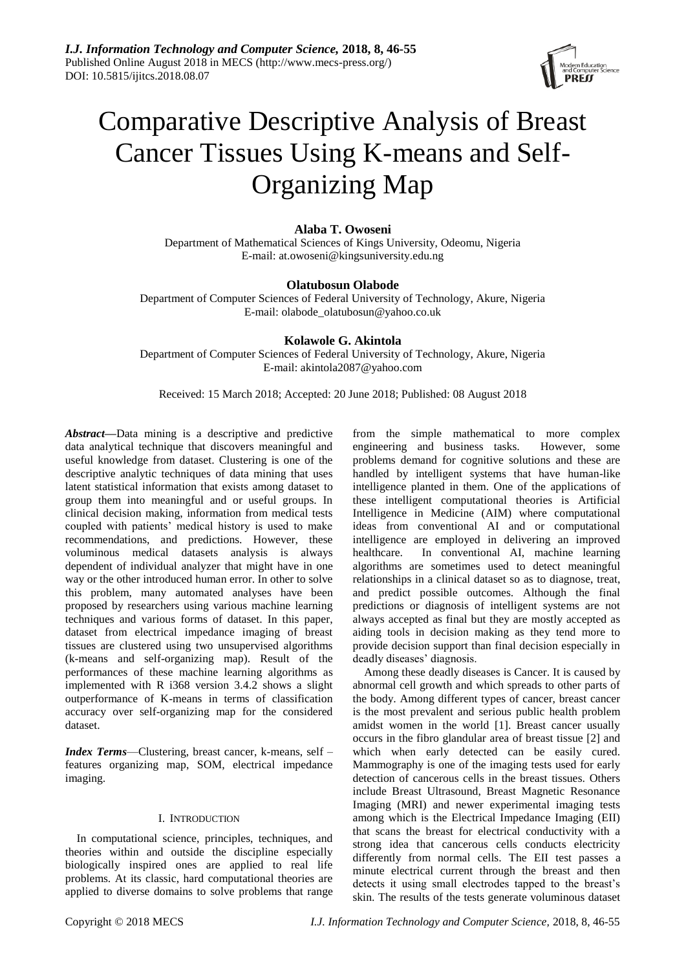

# Comparative Descriptive Analysis of Breast Cancer Tissues Using K-means and Self-Organizing Map

## **Alaba T. Owoseni**

Department of Mathematical Sciences of Kings University, Odeomu, Nigeria E-mail: at.owoseni@kingsuniversity.edu.ng

## **Olatubosun Olabode**

Department of Computer Sciences of Federal University of Technology, Akure, Nigeria E-mail: olabode\_olatubosun@yahoo.co.uk

## **Kolawole G. Akintola**

Department of Computer Sciences of Federal University of Technology, Akure, Nigeria E-mail: akintola2087@yahoo.com

Received: 15 March 2018; Accepted: 20 June 2018; Published: 08 August 2018

*Abstract***—**Data mining is a descriptive and predictive data analytical technique that discovers meaningful and useful knowledge from dataset. Clustering is one of the descriptive analytic techniques of data mining that uses latent statistical information that exists among dataset to group them into meaningful and or useful groups. In clinical decision making, information from medical tests coupled with patients' medical history is used to make recommendations, and predictions. However, these voluminous medical datasets analysis is always dependent of individual analyzer that might have in one way or the other introduced human error. In other to solve this problem, many automated analyses have been proposed by researchers using various machine learning techniques and various forms of dataset. In this paper, dataset from electrical impedance imaging of breast tissues are clustered using two unsupervised algorithms (k-means and self-organizing map). Result of the performances of these machine learning algorithms as implemented with R i368 version 3.4.2 shows a slight outperformance of K-means in terms of classification accuracy over self-organizing map for the considered dataset.

*Index Terms*—Clustering, breast cancer, k-means, self – features organizing map, SOM, electrical impedance imaging.

### I. INTRODUCTION

In computational science, principles, techniques, and theories within and outside the discipline especially biologically inspired ones are applied to real life problems. At its classic, hard computational theories are applied to diverse domains to solve problems that range

from the simple mathematical to more complex engineering and business tasks. However, some problems demand for cognitive solutions and these are handled by intelligent systems that have human-like intelligence planted in them. One of the applications of these intelligent computational theories is Artificial Intelligence in Medicine (AIM) where computational ideas from conventional AI and or computational intelligence are employed in delivering an improved healthcare. In conventional AI, machine learning algorithms are sometimes used to detect meaningful relationships in a clinical dataset so as to diagnose, treat, and predict possible outcomes. Although the final predictions or diagnosis of intelligent systems are not always accepted as final but they are mostly accepted as aiding tools in decision making as they tend more to provide decision support than final decision especially in deadly diseases' diagnosis.

Among these deadly diseases is Cancer. It is caused by abnormal cell growth and which spreads to other parts of the body. Among different types of cancer, breast cancer is the most prevalent and serious public health problem amidst women in the world [1]. Breast cancer usually occurs in the fibro glandular area of breast tissue [2] and which when early detected can be easily cured. Mammography is one of the imaging tests used for early detection of cancerous cells in the breast tissues. Others include Breast Ultrasound, Breast Magnetic Resonance Imaging (MRI) and newer experimental imaging tests among which is the Electrical Impedance Imaging (EII) that scans the breast for electrical conductivity with a strong idea that cancerous cells conducts electricity differently from normal cells. The EII test passes a minute electrical current through the breast and then detects it using small electrodes tapped to the breast's skin. The results of the tests generate voluminous dataset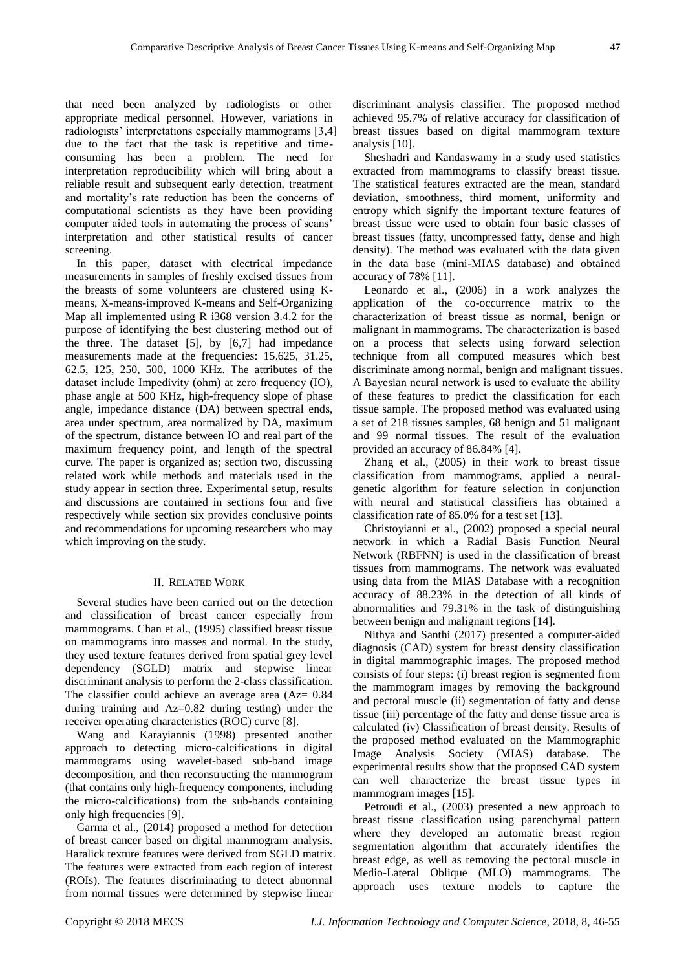that need been analyzed by radiologists or other appropriate medical personnel. However, variations in radiologists' interpretations especially mammograms [3,4] due to the fact that the task is repetitive and timeconsuming has been a problem. The need for interpretation reproducibility which will bring about a reliable result and subsequent early detection, treatment and mortality's rate reduction has been the concerns of computational scientists as they have been providing computer aided tools in automating the process of scans' interpretation and other statistical results of cancer screening.

In this paper, dataset with electrical impedance measurements in samples of freshly excised tissues from the breasts of some volunteers are clustered using Kmeans, X-means-improved K-means and Self-Organizing Map all implemented using R i368 version 3.4.2 for the purpose of identifying the best clustering method out of the three. The dataset [5], by [6,7] had impedance measurements made at the frequencies: 15.625, 31.25, 62.5, 125, 250, 500, 1000 KHz. The attributes of the dataset include Impedivity (ohm) at zero frequency (IO), phase angle at 500 KHz, high-frequency slope of phase angle, impedance distance (DA) between spectral ends, area under spectrum, area normalized by DA, maximum of the spectrum, distance between IO and real part of the maximum frequency point, and length of the spectral curve. The paper is organized as; section two, discussing related work while methods and materials used in the study appear in section three. Experimental setup, results and discussions are contained in sections four and five respectively while section six provides conclusive points and recommendations for upcoming researchers who may which improving on the study.

#### II. RELATED WORK

Several studies have been carried out on the detection and classification of breast cancer especially from mammograms. Chan et al., (1995) classified breast tissue on mammograms into masses and normal. In the study, they used texture features derived from spatial grey level dependency (SGLD) matrix and stepwise linear discriminant analysis to perform the 2-class classification. The classifier could achieve an average area (Az= 0.84 during training and Az=0.82 during testing) under the receiver operating characteristics (ROC) curve [8].

Wang and Karayiannis (1998) presented another approach to detecting micro-calcifications in digital mammograms using wavelet-based sub-band image decomposition, and then reconstructing the mammogram (that contains only high-frequency components, including the micro-calcifications) from the sub-bands containing only high frequencies [9].

Garma et al., (2014) proposed a method for detection of breast cancer based on digital mammogram analysis. Haralick texture features were derived from SGLD matrix. The features were extracted from each region of interest (ROIs). The features discriminating to detect abnormal from normal tissues were determined by stepwise linear

discriminant analysis classifier. The proposed method achieved 95.7% of relative accuracy for classification of breast tissues based on digital mammogram texture analysis [10].

Sheshadri and Kandaswamy in a study used statistics extracted from mammograms to classify breast tissue. The statistical features extracted are the mean, standard deviation, smoothness, third moment, uniformity and entropy which signify the important texture features of breast tissue were used to obtain four basic classes of breast tissues (fatty, uncompressed fatty, dense and high density). The method was evaluated with the data given in the data base (mini-MIAS database) and obtained accuracy of 78% [11].

Leonardo et al., (2006) in a work analyzes the application of the co-occurrence matrix to the characterization of breast tissue as normal, benign or malignant in mammograms. The characterization is based on a process that selects using forward selection technique from all computed measures which best discriminate among normal, benign and malignant tissues. A Bayesian neural network is used to evaluate the ability of these features to predict the classification for each tissue sample. The proposed method was evaluated using a set of 218 tissues samples, 68 benign and 51 malignant and 99 normal tissues. The result of the evaluation provided an accuracy of 86.84% [4].

Zhang et al., (2005) in their work to breast tissue classification from mammograms, applied a neuralgenetic algorithm for feature selection in conjunction with neural and statistical classifiers has obtained a classification rate of 85.0% for a test set [13].

Christoyianni et al., (2002) proposed a special neural network in which a Radial Basis Function Neural Network (RBFNN) is used in the classification of breast tissues from mammograms. The network was evaluated using data from the MIAS Database with a recognition accuracy of 88.23% in the detection of all kinds of abnormalities and 79.31% in the task of distinguishing between benign and malignant regions [14].

Nithya and Santhi (2017) presented a computer-aided diagnosis (CAD) system for breast density classification in digital mammographic images. The proposed method consists of four steps: (i) breast region is segmented from the mammogram images by removing the background and pectoral muscle (ii) segmentation of fatty and dense tissue (iii) percentage of the fatty and dense tissue area is calculated (iv) Classification of breast density. Results of the proposed method evaluated on the Mammographic Image Analysis Society (MIAS) database. The experimental results show that the proposed CAD system can well characterize the breast tissue types in mammogram images [15].

Petroudi et al., (2003) presented a new approach to breast tissue classification using parenchymal pattern where they developed an automatic breast region segmentation algorithm that accurately identifies the breast edge, as well as removing the pectoral muscle in Medio-Lateral Oblique (MLO) mammograms. The approach uses texture models to capture the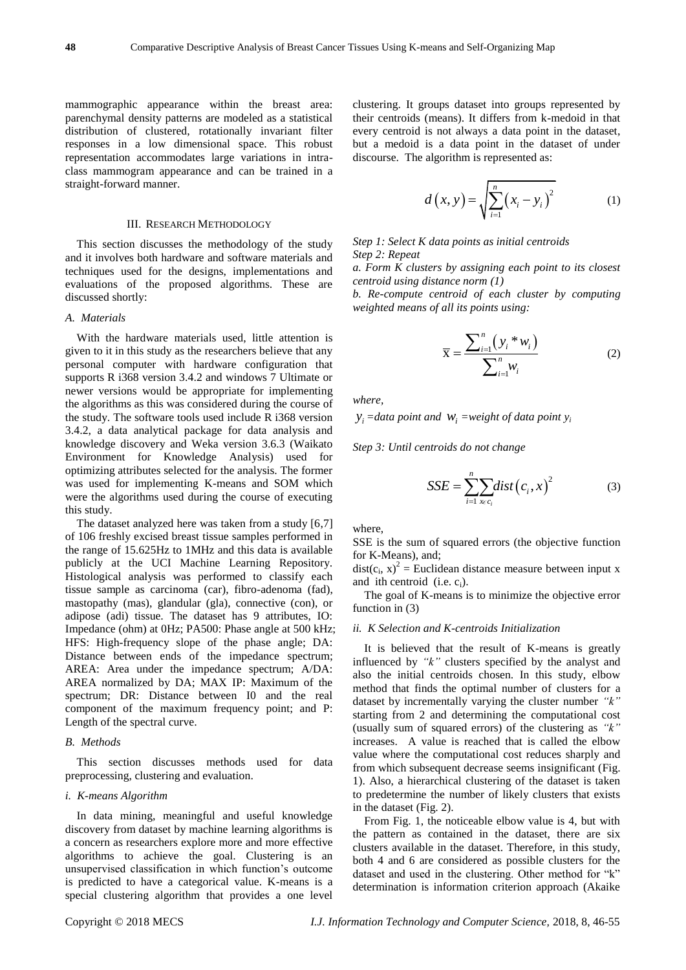mammographic appearance within the breast area: parenchymal density patterns are modeled as a statistical distribution of clustered, rotationally invariant filter responses in a low dimensional space. This robust representation accommodates large variations in intraclass mammogram appearance and can be trained in a straight-forward manner.

## III. RESEARCH METHODOLOGY

This section discusses the methodology of the study and it involves both hardware and software materials and techniques used for the designs, implementations and evaluations of the proposed algorithms. These are discussed shortly:

#### *A. Materials*

With the hardware materials used, little attention is given to it in this study as the researchers believe that any personal computer with hardware configuration that supports R i368 version 3.4.2 and windows 7 Ultimate or newer versions would be appropriate for implementing the algorithms as this was considered during the course of the study. The software tools used include R i368 version 3.4.2, a data analytical package for data analysis and knowledge discovery and Weka version 3.6.3 (Waikato Environment for Knowledge Analysis) used for optimizing attributes selected for the analysis. The former was used for implementing K-means and SOM which were the algorithms used during the course of executing this study.

The dataset analyzed here was taken from a study [6,7] of 106 freshly excised breast tissue samples performed in the range of 15.625Hz to 1MHz and this data is available publicly at the UCI Machine Learning Repository. Histological analysis was performed to classify each tissue sample as carcinoma (car), fibro-adenoma (fad), mastopathy (mas), glandular (gla), connective (con), or adipose (adi) tissue. The dataset has 9 attributes, IO: Impedance (ohm) at 0Hz; PA500: Phase angle at 500 kHz; HFS: High-frequency slope of the phase angle; DA: Distance between ends of the impedance spectrum; AREA: Area under the impedance spectrum; A/DA: AREA normalized by DA; MAX IP: Maximum of the spectrum; DR: Distance between I0 and the real component of the maximum frequency point; and P: Length of the spectral curve.

#### *B. Methods*

This section discusses methods used for data preprocessing, clustering and evaluation.

#### *i. K-means Algorithm*

In data mining, meaningful and useful knowledge discovery from dataset by machine learning algorithms is a concern as researchers explore more and more effective algorithms to achieve the goal. Clustering is an unsupervised classification in which function's outcome is predicted to have a categorical value. K-means is a special clustering algorithm that provides a one level

clustering. It groups dataset into groups represented by their centroids (means). It differs from k-medoid in that every centroid is not always a data point in the dataset, but a medoid is a data point in the dataset of under discourse. The algorithm is represented as:

$$
d(x, y) = \sqrt{\sum_{i=1}^{n} (x_i - y_i)^2}
$$
 (1)

*Step 1: Select K data points as initial centroids Step 2: Repeat*

*a. Form K clusters by assigning each point to its closest centroid using distance norm (1)*

*b. Re-compute centroid of each cluster by computing weighted means of all its points using:*

$$
\overline{\mathbf{x}} = \frac{\sum_{i=1}^{n} (y_i * w_i)}{\sum_{i=1}^{n} w_i}
$$
 (2)

*where,*

 $y_i =$ data point and  $w_i =$ weight of data point  $y_i$ 

*Step 3: Until centroids do not change*

$$
SSE = \sum_{i=1}^{n} \sum_{x \in c_i} dist(c_i, x)^2
$$
 (3)

where,

SSE is the sum of squared errors (the objective function for K-Means), and;

 $dist(c_i, x)^2$  = Euclidean distance measure between input x and ith centroid (i.e.  $c_i$ ).

The goal of K-means is to minimize the objective error function in (3)

## *ii. K Selection and K-centroids Initialization*

It is believed that the result of K-means is greatly influenced by *"k"* clusters specified by the analyst and also the initial centroids chosen. In this study, elbow method that finds the optimal number of clusters for a dataset by incrementally varying the cluster number *"k"* starting from 2 and determining the computational cost (usually sum of squared errors) of the clustering as *"k"* increases. A value is reached that is called the elbow value where the computational cost reduces sharply and from which subsequent decrease seems insignificant (Fig. 1). Also, a hierarchical clustering of the dataset is taken to predetermine the number of likely clusters that exists in the dataset (Fig. 2).

From Fig. 1, the noticeable elbow value is 4, but with the pattern as contained in the dataset, there are six clusters available in the dataset. Therefore, in this study, both 4 and 6 are considered as possible clusters for the dataset and used in the clustering. Other method for "k" determination is information criterion approach (Akaike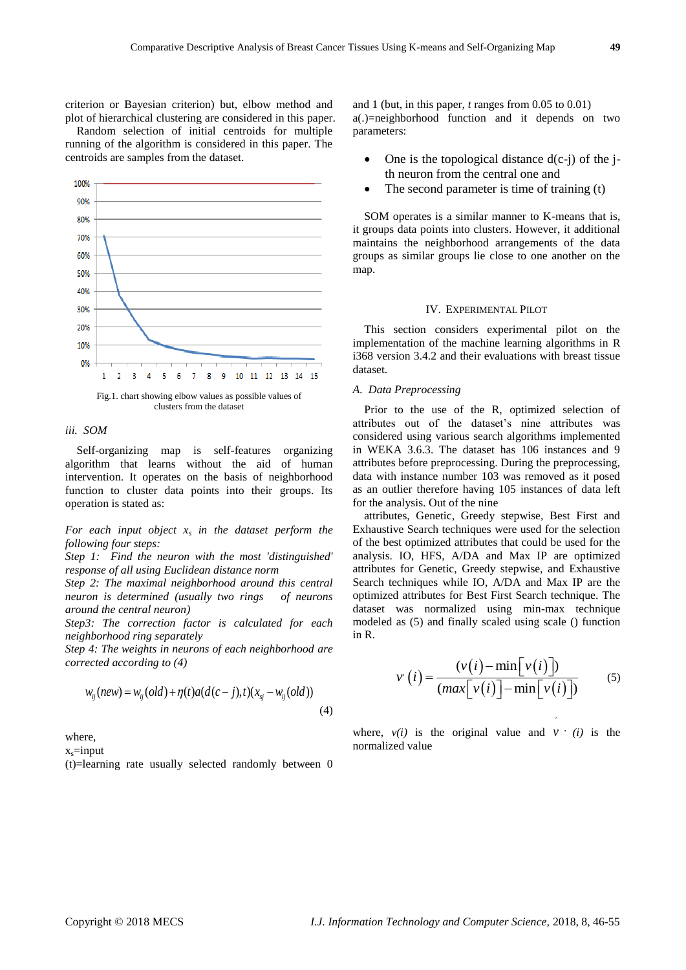criterion or Bayesian criterion) but, elbow method and plot of hierarchical clustering are considered in this paper.

Random selection of initial centroids for multiple running of the algorithm is considered in this paper. The centroids are samples from the dataset.



#### *iii. SOM*

Self-organizing map is self-features organizing algorithm that learns without the aid of human intervention. It operates on the basis of neighborhood function to cluster data points into their groups. Its operation is stated as:

*For each input object x<sup>s</sup> in the dataset perform the following four steps:*

*Step 1: Find the neuron with the most 'distinguished' response of all using Euclidean distance norm*

*Step 2: The maximal neighborhood around this central neuron is determined (usually two rings of neurons around the central neuron)*

*Step3: The correction factor is calculated for each neighborhood ring separately*

*Step 4: The weights in neurons of each neighborhood are corrected according to (4)*

$$
w_{ij}(new) = w_{ij}(old) + \eta(t)a(d(c-j), t)(x_{ij} - w_{ij}(old))
$$
\n(4)

where,

 $x_s$ =input

(t)=learning rate usually selected randomly between 0

and 1 (but, in this paper, *t* ranges from 0.05 to 0.01) a(.)=neighborhood function and it depends on two parameters:

- One is the topological distance  $d(c-j)$  of the jth neuron from the central one and
- The second parameter is time of training (t)

SOM operates is a similar manner to K-means that is, it groups data points into clusters. However, it additional maintains the neighborhood arrangements of the data groups as similar groups lie close to one another on the map.

#### IV. EXPERIMENTAL PILOT

This section considers experimental pilot on the implementation of the machine learning algorithms in R i368 version 3.4.2 and their evaluations with breast tissue dataset.

#### *A. Data Preprocessing*

Prior to the use of the R, optimized selection of attributes out of the dataset's nine attributes was considered using various search algorithms implemented in WEKA 3.6.3. The dataset has 106 instances and 9 attributes before preprocessing. During the preprocessing, data with instance number 103 was removed as it posed as an outlier therefore having 105 instances of data left for the analysis. Out of the nine

attributes, Genetic, Greedy stepwise, Best First and Exhaustive Search techniques were used for the selection of the best optimized attributes that could be used for the analysis. IO, HFS, A/DA and Max IP are optimized attributes for Genetic, Greedy stepwise, and Exhaustive Search techniques while IO, A/DA and Max IP are the optimized attributes for Best First Search technique. The dataset was normalized using min-max technique modeled as (5) and finally scaled using scale () function in R.

$$
v'(i) = \frac{(v(i) - \min[v(i)])}{(\max[v(i)] - \min[v(i)])}
$$
 (5)

´

where,  $v(i)$  is the original value and  $v$  *(i)* is the normalized value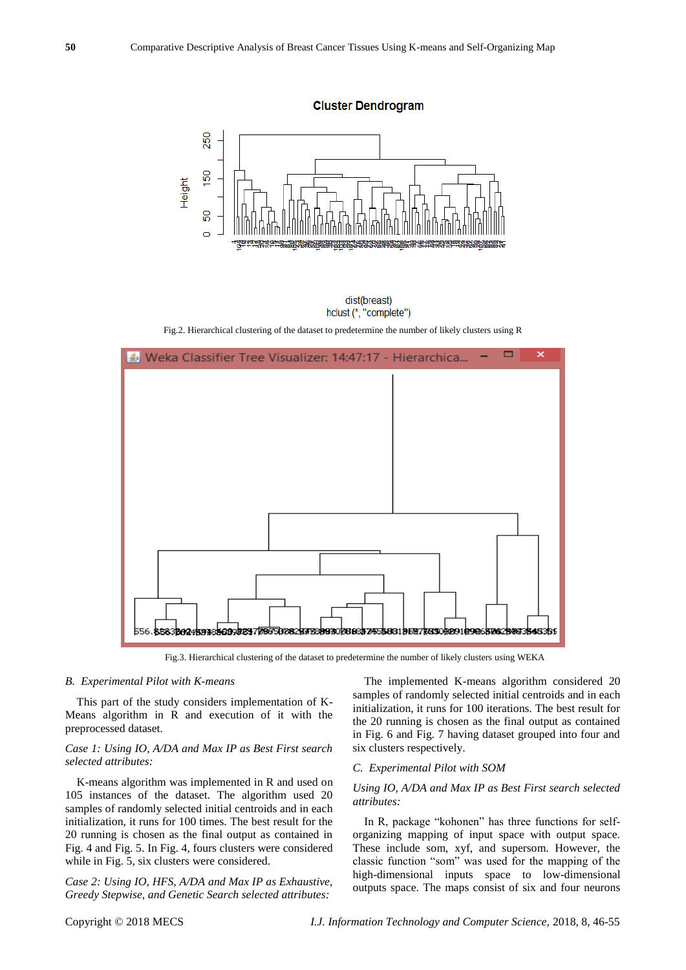

dist(breast) hclust (\*, "complete")

Fig.2. Hierarchical clustering of the dataset to predetermine the number of likely clusters using R



Fig.3. Hierarchical clustering of the dataset to predetermine the number of likely clusters using WEKA

#### *B. Experimental Pilot with K-means*

This part of the study considers implementation of K-Means algorithm in R and execution of it with the preprocessed dataset.

## *Case 1: Using IO, A/DA and Max IP as Best First search selected attributes:*

K-means algorithm was implemented in R and used on 105 instances of the dataset. The algorithm used 20 samples of randomly selected initial centroids and in each initialization, it runs for 100 times. The best result for the 20 running is chosen as the final output as contained in Fig. 4 and Fig. 5. In Fig. 4, fours clusters were considered while in Fig. 5, six clusters were considered.

*Case 2: Using IO, HFS, A/DA and Max IP as Exhaustive, Greedy Stepwise, and Genetic Search selected attributes:* 

The implemented K-means algorithm considered 20 samples of randomly selected initial centroids and in each initialization, it runs for 100 iterations. The best result for the 20 running is chosen as the final output as contained in Fig. 6 and Fig. 7 having dataset grouped into four and six clusters respectively.

#### *C. Experimental Pilot with SOM*

## *Using IO, A/DA and Max IP as Best First search selected attributes:*

In R, package "kohonen" has three functions for selforganizing mapping of input space with output space. These include som, xyf, and supersom. However, the classic function "som" was used for the mapping of the high-dimensional inputs space to low-dimensional outputs space. The maps consist of six and four neurons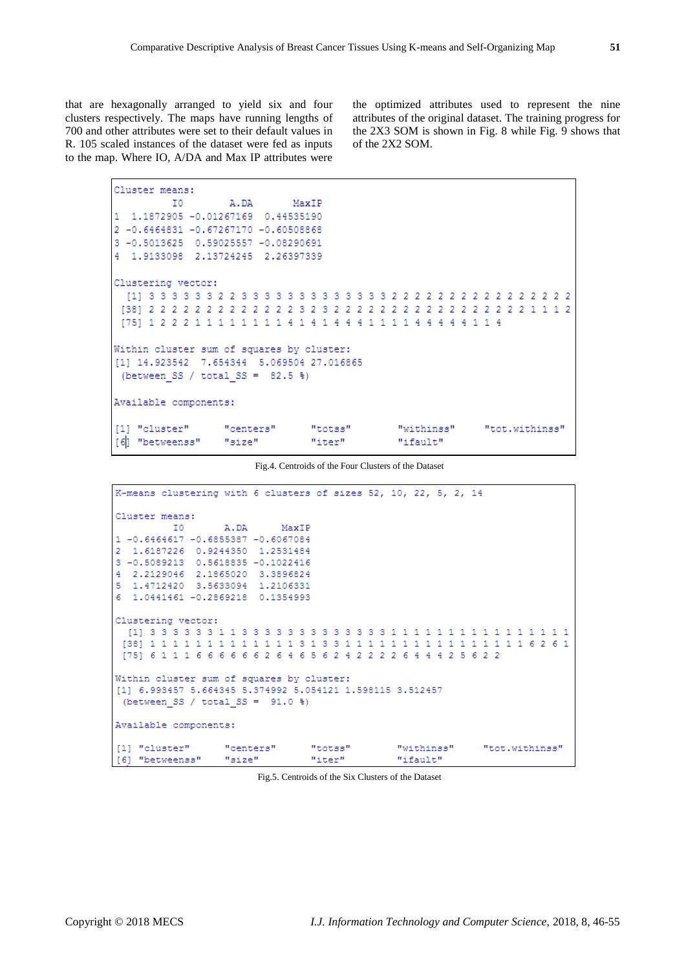that are hexagonally arranged to yield six and four clusters respectively. The maps have running lengths of 700 and other attributes were set to their default values in R. 105 scaled instances of the dataset were fed as inputs to the map. Where IO, A/DA and Max IP attributes were

the optimized attributes used to represent the nine attributes of the original dataset. The training progress for the 2X3 SOM is shown in Fig. 8 while Fig. 9 shows that of the 2X2 SOM.

```
Cluster means:
               I0
                                A.DA
                                                 MaxIP
1 1.1872905 -0.01267169 0.44535190
2 -0.6464831 -0.67267170 -0.60508868
3 -0.5013625 0.59025557 -0.08290691
4 1.9133098 2.13724245 2.26397339
Clustering vector:
  [\begin{smallmatrix}11\end{smallmatrix}]\begin{smallmatrix}3\end{smallmatrix}]\begin{smallmatrix}3\end{smallmatrix}]\begin{smallmatrix}3\end{smallmatrix}]\begin{smallmatrix}3\end{smallmatrix}=\begin{smallmatrix}3\end{smallmatrix}]\begin{smallmatrix}3\end{smallmatrix}]\begin{smallmatrix}3\end{smallmatrix}]\begin{smallmatrix}3\end{smallmatrix}]\begin{smallmatrix}3\end{smallmatrix}]\begin{smallmatrix}3\end{smallmatrix}]\begin{smallmatrix}3\end{smallmatrix}]\begin{smallmatrix}3\end{smallmatrix}]\begin{smallmatrix}3\end{smallmatrix}]\begin{smallmatrix}3\end{smallmatrix}]\begin{smallmatrix}2\end{smallmatrix}[\begin{smallmatrix}2\end{smallWithin cluster sum of squares by cluster:
[1] 14.923542 7.654344 5.069504 27.016865
 (between_SS / total_SS = 82.5 %)
Available components:
[1] "cluster"
                              "centers"
                                                       "totss"
                                                                               "withinss"
                                                                                                        "tot.withinss"
[6] "betweenss"
                              "size"
                                                                               "ifault"
                                                       "iter"
```
Fig.4. Centroids of the Four Clusters of the Dataset

| K-means clustering with 6 clusters of sizes 52, 10, 22, 5, 2, 14           |               |  |  |  |  |  |  |
|----------------------------------------------------------------------------|---------------|--|--|--|--|--|--|
| Cluster means:                                                             |               |  |  |  |  |  |  |
|                                                                            | IO A.DA MaxIP |  |  |  |  |  |  |
| 1 -0.6464617 -0.6855387 -0.6067084                                         |               |  |  |  |  |  |  |
| 2 1,6187226 0,9244350 1,2531484                                            |               |  |  |  |  |  |  |
| 3 -0.5089213 0.5618835 -0.1022416                                          |               |  |  |  |  |  |  |
| 4 2.2129046 2.1865020 3.3896824                                            |               |  |  |  |  |  |  |
| 5 1,4712420 3,5633094 1,2106331                                            |               |  |  |  |  |  |  |
| 6 1.0441461 -0.2869218 0.1354993                                           |               |  |  |  |  |  |  |
|                                                                            |               |  |  |  |  |  |  |
| Clustering vector:                                                         |               |  |  |  |  |  |  |
|                                                                            |               |  |  |  |  |  |  |
| [38] 1 1 1 1 1 1 1 1 1 1 1 1 3 1 3 3 1 1 1 1 1 1 1 1 1 1 1 1 1 1 1 1 3 6 1 |               |  |  |  |  |  |  |
| [75] 6 1 1 1 6 6 6 6 6 6 6 2 6 4 6 5 6 2 4 2 2 2 2 6 4 4 4 2 5 6 2 2       |               |  |  |  |  |  |  |
|                                                                            |               |  |  |  |  |  |  |
| Within cluster sum of squares by cluster:                                  |               |  |  |  |  |  |  |
| [1] 6.993457 5.664345 5.374992 5.054121 1.598115 3.512457                  |               |  |  |  |  |  |  |
| (between SS / total SS = $91.0$ %)                                         |               |  |  |  |  |  |  |
|                                                                            |               |  |  |  |  |  |  |
| Available components:                                                      |               |  |  |  |  |  |  |
| [[1] "cluster" = "centers" = "totss" = "withinss" = "tot.withinss"         |               |  |  |  |  |  |  |
| [6] "betweenss" "size" "iter" "ifault"                                     |               |  |  |  |  |  |  |

Fig.5. Centroids of the Six Clusters of the Dataset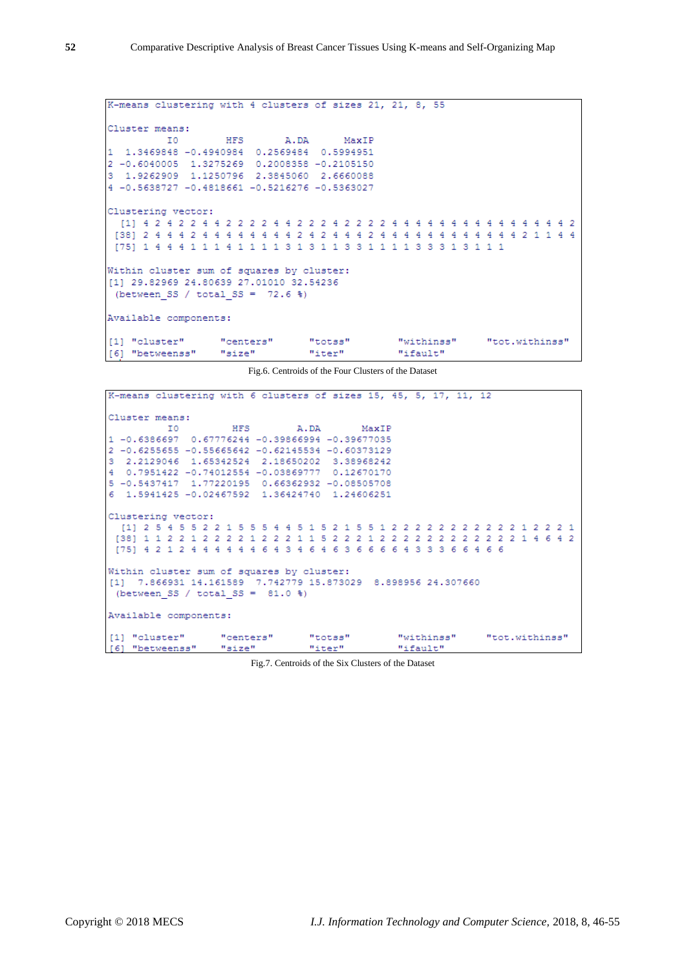```
K-means clustering with 4 clusters of sizes 21, 21, 8, 55
Cluster means:
               HFS
                       A.DA
                               MaxIP
      I01 1.3469848 -0.4940984 0.2569484 0.5994951
2 -0.6040005 1.3275269 0.2008358 -0.2105150
3\quad 1.9262909\quad 1.1250796\quad 2.3845060\quad 2.66600884 -0.5638727 -0.4818661 -0.5216276 -0.5363027
Clustering vector:
 [75]\ 1\ 4\ 4\ 4\ 1\ 1\ 1\ 4\ 1\ 1\ 1\ 1\ 3\ 1\ 3\ 1\ 1\ 3\ 3\ 1\ 1\ 1\ 1\ 3\ 3\ 3\ 1\ 3\ 1\ 1\ 1Within cluster sum of squares by cluster:
[1] 29.82969 24.80639 27.01010 32.54236
(between SS / total SS = 72.6 %)
Available components:
[1] "cluster"
               "centers""totss"
                                        "withinss"
                                                    "tot.withinss"
[6] "betweenss"
             "size" "iter"
                                      "ifault"
```
Fig.6. Centroids of the Four Clusters of the Dataset

|                       |                                                    | K-means clustering with 6 clusters of sizes 15, 45, 5, 17, 11, 12  |  |
|-----------------------|----------------------------------------------------|--------------------------------------------------------------------|--|
| Cluster means:        |                                                    |                                                                    |  |
|                       | IO HFS A.DA MaxIP                                  |                                                                    |  |
|                       | 1 -0.6386697 0.67776244 -0.39866994 -0.39677035    |                                                                    |  |
|                       | 2 -0.6255655 -0.55665642 -0.62145534 -0.60373129   |                                                                    |  |
|                       | 3 2.2129046 1.65342524 2.18650202 3.38968242       |                                                                    |  |
|                       | 4  0.7951422  -0.74012554  -0.03869777  0.12670170 |                                                                    |  |
|                       | 5 -0.5437417 1.77220195 0.66362932 -0.08505708     |                                                                    |  |
|                       | 6 1.5941425 -0.02467592 1.36424740 1.24606251      |                                                                    |  |
|                       |                                                    |                                                                    |  |
| Clustering vector:    |                                                    |                                                                    |  |
|                       |                                                    |                                                                    |  |
|                       |                                                    |                                                                    |  |
|                       |                                                    | 1751 4 2 1 2 4 4 4 4 4 4 6 4 3 4 6 4 6 3 6 6 6 6 4 3 3 3 6 6 4 6 6 |  |
|                       |                                                    |                                                                    |  |
|                       | Within cluster sum of squares by cluster:          |                                                                    |  |
|                       |                                                    | [1] 7.866931 14.161589 7.742779 15.873029 8.898956 24.307660       |  |
|                       | (between SS / total SS = $81.0$ %)                 |                                                                    |  |
|                       |                                                    |                                                                    |  |
| Available components: |                                                    |                                                                    |  |
|                       |                                                    |                                                                    |  |
|                       |                                                    | [[1] "cluster" "centers" "totss" "withinss" "tot.withinss"         |  |
|                       | [6] "betweenss" "size" "iter" "ifault"             |                                                                    |  |

Fig.7. Centroids of the Six Clusters of the Dataset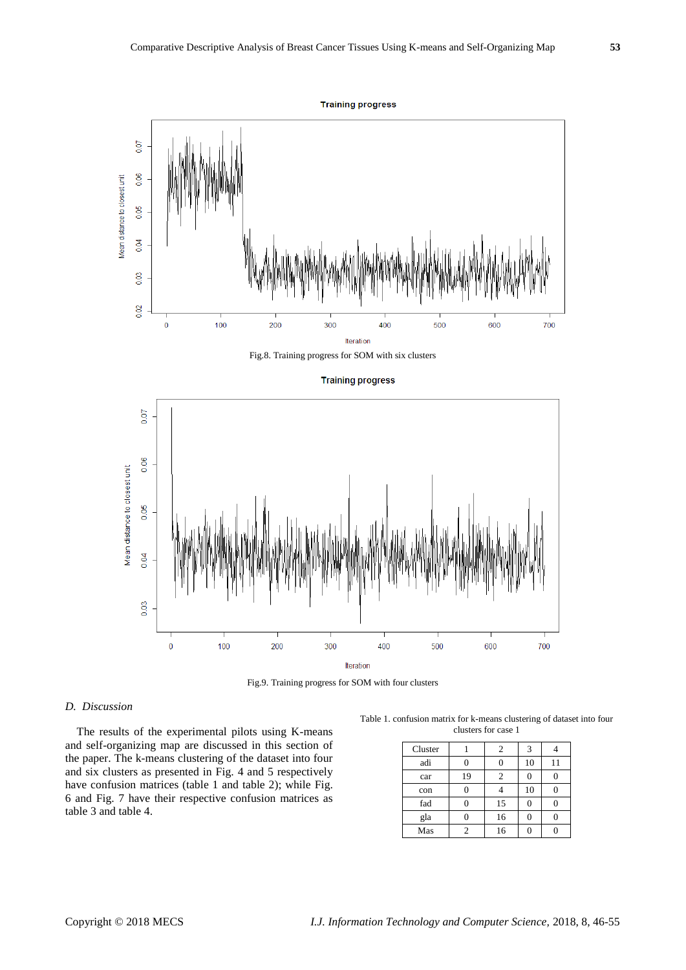

## Fig.8. Training progress for SOM with six clusters



Fig.9. Training progress for SOM with four clusters

# *D. Discussion*

The results of the experimental pilots using K-means and self-organizing map are discussed in this section of the paper. The k-means clustering of the dataset into four and six clusters as presented in Fig. 4 and 5 respectively have confusion matrices (table 1 and table 2); while Fig. 6 and Fig. 7 have their respective confusion matrices as table 3 and table 4.

Table 1. confusion matrix for k-means clustering of dataset into four clusters for case 1

| Cluster |    | 2  | 3  |    |
|---------|----|----|----|----|
| adi     |    |    | 10 | 11 |
| car     | 19 | 2  |    |    |
| con     |    |    | 10 |    |
| fad     |    | 15 |    |    |
| gla     |    | 16 |    |    |
| Mas     |    | 16 |    |    |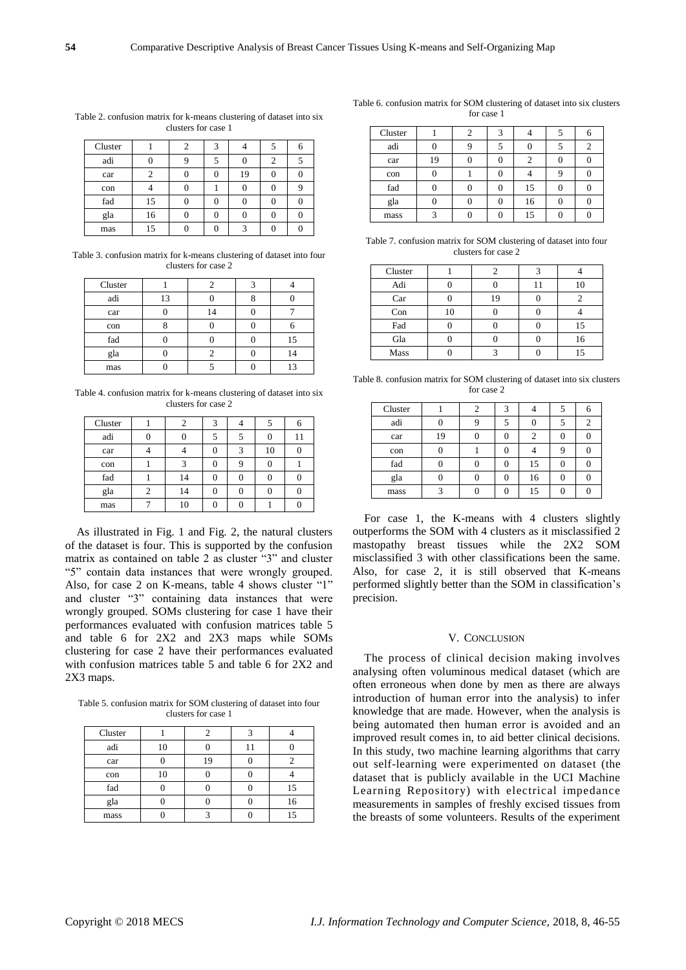|   | I |
|---|---|
| ٦ |   |

| Cluster |    |  |    |   |  |
|---------|----|--|----|---|--|
| adi     |    |  |    | 2 |  |
| car     |    |  | 19 |   |  |
| con     |    |  |    |   |  |
| fad     | 15 |  |    |   |  |
| gla     | 16 |  |    |   |  |
| mas     | 15 |  |    |   |  |

Table 2. confusion matrix for k-means clustering of dataset into six clusters for case 1

Table 3. confusion matrix for k-means clustering of dataset into four clusters for case 2

| Cluster |    |    |    |
|---------|----|----|----|
| adi     | 13 |    |    |
| car     |    | 14 |    |
| con     |    |    |    |
| fad     |    |    | 15 |
| gla     |    |    | 14 |
| mas     |    |    | 13 |

Table 4. confusion matrix for k-means clustering of dataset into six clusters for case 2

| Cluster |    |  |    |    |
|---------|----|--|----|----|
| adi     |    |  |    | 11 |
| car     |    |  | 10 |    |
| con     |    |  |    |    |
| fad     | 14 |  |    |    |
| gla     | 14 |  |    |    |
| mas     |    |  |    |    |

As illustrated in Fig. 1 and Fig. 2, the natural clusters of the dataset is four. This is supported by the confusion matrix as contained on table 2 as cluster "3" and cluster "5" contain data instances that were wrongly grouped. Also, for case 2 on K-means, table 4 shows cluster "1" and cluster "3" containing data instances that were wrongly grouped. SOMs clustering for case 1 have their performances evaluated with confusion matrices table 5 and table 6 for 2X2 and 2X3 maps while SOMs clustering for case 2 have their performances evaluated with confusion matrices table 5 and table 6 for 2X2 and 2X3 maps.

Table 5. confusion matrix for SOM clustering of dataset into four clusters for case 1

| Cluster |    |    |    |
|---------|----|----|----|
| adi     | 10 |    |    |
| car     |    | 19 |    |
| con     | 10 |    |    |
| fad     |    |    | 15 |
| gla     |    |    | 16 |
| mass    |    |    |    |

Table 6. confusion matrix for SOM clustering of dataset into six clusters for case 1

| Cluster |    |  |    |  |
|---------|----|--|----|--|
| adi     |    |  |    |  |
| car     | 19 |  |    |  |
| con     |    |  |    |  |
| fad     |    |  | 15 |  |
| gla     |    |  | 16 |  |
| mass    |    |  | 15 |  |

Table 7. confusion matrix for SOM clustering of dataset into four clusters for case 2

| Cluster |    |    |    |
|---------|----|----|----|
| Adi     |    |    | 10 |
| Car     |    | 19 |    |
| Con     | 10 |    |    |
| Fad     |    |    | 15 |
| Gla     |    |    | 16 |
| Mass    |    |    | 15 |

Table 8. confusion matrix for SOM clustering of dataset into six clusters for case 2

| Cluster |    | 2 |    |  |
|---------|----|---|----|--|
| adi     |    |   |    |  |
| car     | 19 |   |    |  |
| con     |    |   |    |  |
| fad     |    |   | 15 |  |
| gla     |    |   | 16 |  |
| mass    |    |   | 15 |  |

For case 1, the K-means with 4 clusters slightly outperforms the SOM with 4 clusters as it misclassified 2 mastopathy breast tissues while the 2X2 SOM misclassified 3 with other classifications been the same. Also, for case 2, it is still observed that K-means performed slightly better than the SOM in classification's precision.

#### V. CONCLUSION

The process of clinical decision making involves analysing often voluminous medical dataset (which are often erroneous when done by men as there are always introduction of human error into the analysis) to infer knowledge that are made. However, when the analysis is being automated then human error is avoided and an improved result comes in, to aid better clinical decisions. In this study, two machine learning algorithms that carry out self-learning were experimented on dataset (the dataset that is publicly available in the UCI Machine Learning Repository) with electrical impedance measurements in samples of freshly excised tissues from the breasts of some volunteers. Results of the experiment